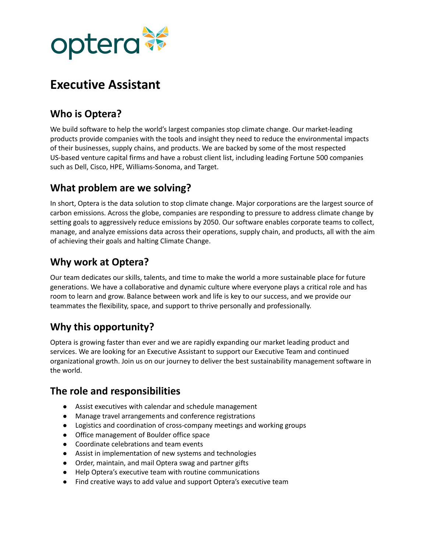

# **Executive Assistant**

# **Who is Optera?**

We build software to help the world's largest companies stop climate change. Our market-leading products provide companies with the tools and insight they need to reduce the environmental impacts of their businesses, supply chains, and products. We are backed by some of the most respected US-based venture capital firms and have a robust client list, including leading Fortune 500 companies such as Dell, Cisco, HPE, Williams-Sonoma, and Target.

#### **What problem are we solving?**

In short, Optera is the data solution to stop climate change. Major corporations are the largest source of carbon emissions. Across the globe, companies are responding to pressure to address climate change by setting goals to aggressively reduce emissions by 2050. Our software enables corporate teams to collect, manage, and analyze emissions data across their operations, supply chain, and products, all with the aim of achieving their goals and halting Climate Change.

## **Why work at Optera?**

Our team dedicates our skills, talents, and time to make the world a more sustainable place for future generations. We have a collaborative and dynamic culture where everyone plays a critical role and has room to learn and grow. Balance between work and life is key to our success, and we provide our teammates the flexibility, space, and support to thrive personally and professionally.

# **Why this opportunity?**

Optera is growing faster than ever and we are rapidly expanding our market leading product and services. We are looking for an Executive Assistant to support our Executive Team and continued organizational growth. Join us on our journey to deliver the best sustainability management software in the world.

# **The role and responsibilities**

- Assist executives with calendar and schedule management
- Manage travel arrangements and conference registrations
- Logistics and coordination of cross-company meetings and working groups
- Office management of Boulder office space
- Coordinate celebrations and team events
- Assist in implementation of new systems and technologies
- Order, maintain, and mail Optera swag and partner gifts
- Help Optera's executive team with routine communications
- Find creative ways to add value and support Optera's executive team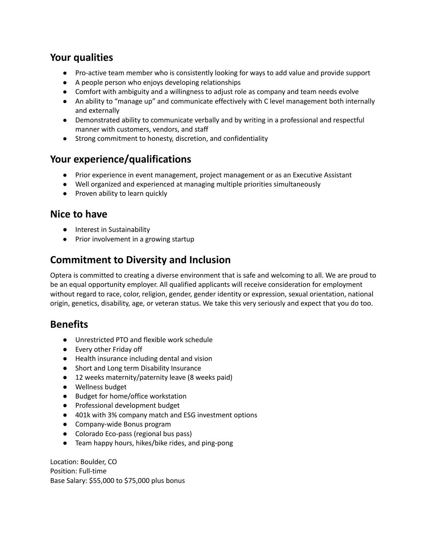#### **Your qualities**

- Pro-active team member who is consistently looking for ways to add value and provide support
- A people person who enjoys developing relationships
- Comfort with ambiguity and a willingness to adjust role as company and team needs evolve
- An ability to "manage up" and communicate effectively with C level management both internally and externally
- Demonstrated ability to communicate verbally and by writing in a professional and respectful manner with customers, vendors, and staff
- Strong commitment to honesty, discretion, and confidentiality

#### **Your experience/qualifications**

- Prior experience in event management, project management or as an Executive Assistant
- Well organized and experienced at managing multiple priorities simultaneously
- Proven ability to learn quickly

#### **Nice to have**

- Interest in Sustainability
- Prior involvement in a growing startup

## **Commitment to Diversity and Inclusion**

Optera is committed to creating a diverse environment that is safe and welcoming to all. We are proud to be an equal opportunity employer. All qualified applicants will receive consideration for employment without regard to race, color, religion, gender, gender identity or expression, sexual orientation, national origin, genetics, disability, age, or veteran status. We take this very seriously and expect that you do too.

#### **Benefits**

- Unrestricted PTO and flexible work schedule
- Every other Friday off
- Health insurance including dental and vision
- Short and Long term Disability Insurance
- 12 weeks maternity/paternity leave (8 weeks paid)
- Wellness budget
- Budget for home/office workstation
- Professional development budget
- 401k with 3% company match and ESG investment options
- Company-wide Bonus program
- Colorado Eco-pass (regional bus pass)
- Team happy hours, hikes/bike rides, and ping-pong

Location: Boulder, CO Position: Full-time Base Salary: \$55,000 to \$75,000 plus bonus